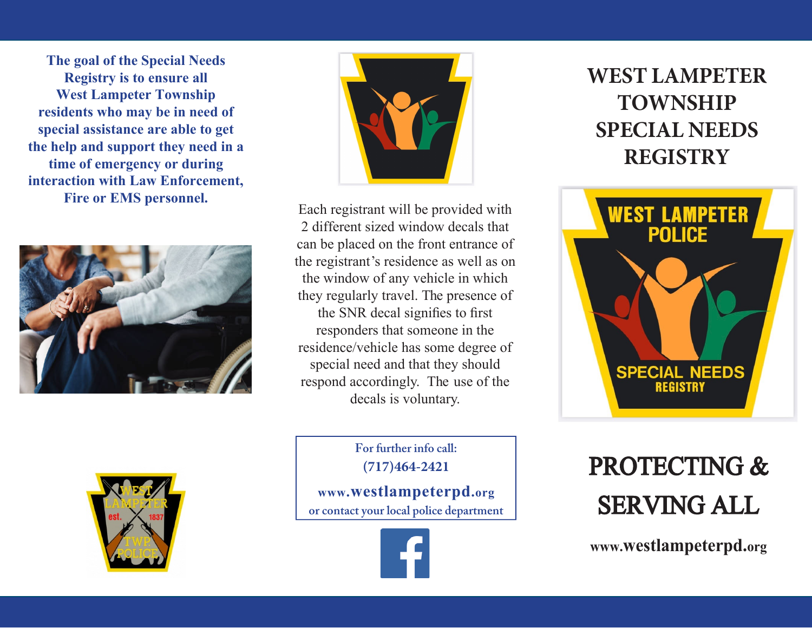**The goal of the Special Needs Registry is to ensure all West Lampeter Township residents who may be in need of special assistance are able to get the help and support they need in a time of emergency or during interaction with Law Enforcement, Fire or EMS personnel.** 





Each registrant will be provided with 2 different sized window decals that can be placed on the front entrance of the registrant's residence as well as on the window of any vehicle in which they regularly travel. The presence of the SNR decal signifies to first responders that someone in the residence/vehicle has some degree of special need and that they should respond accordingly. The use of the decals is voluntary.

> **For further info call:(717)464-2421**

**www.westlampeterpd.orgor contact your local police department**



# **WEST LAMPETER TOWNSHIP SPECIAL NEEDSREGISTRY**



# PROTECTING & SERVING ALL

**www.westlampeterpd.org**